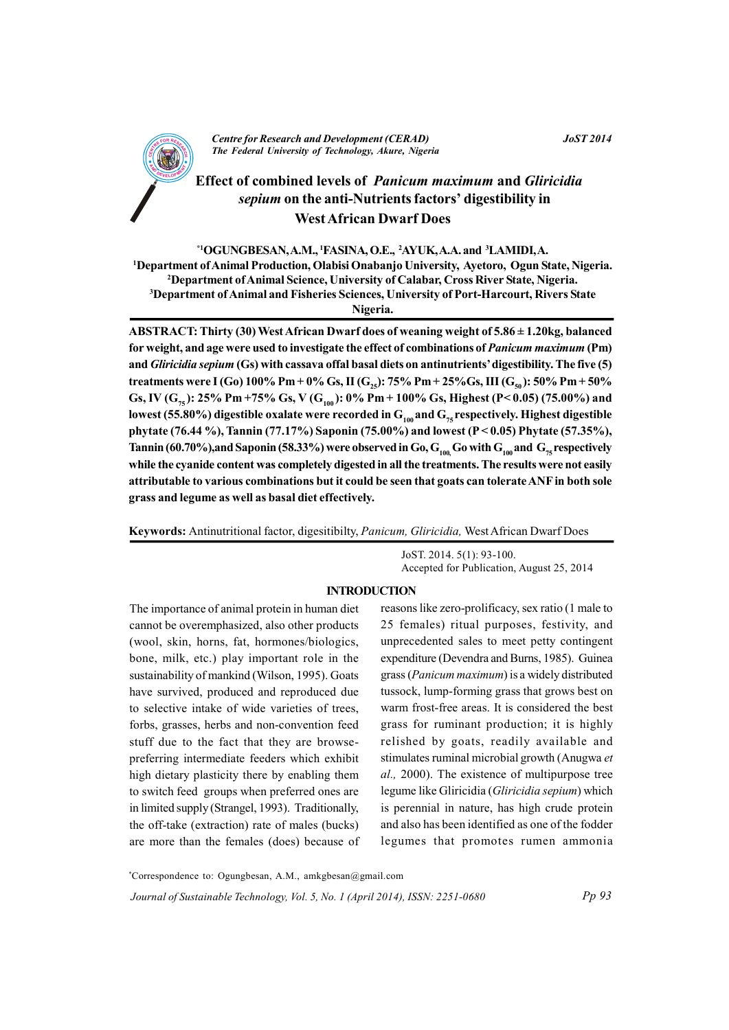

### $I_0$ ST 2014

# **Effect of combined levels of Panicum maximum and Gliricidia** sepium on the anti-Nutrients factors' digestibility in **West African Dwarf Does**

\*1OGUNGBESAN, A.M., <sup>1</sup>FASINA, O.E., <sup>2</sup>AYUK, A.A. and <sup>3</sup>LAMIDI, A.

<sup>1</sup>Department of Animal Production, Olabisi Onabanjo University, Ayetoro, Ogun State, Nigeria.

<sup>2</sup>Department of Animal Science, University of Calabar, Cross River State, Nigeria.

<sup>3</sup>Department of Animal and Fisheries Sciences, University of Port-Harcourt, Rivers State

Nigeria.

ABSTRACT: Thirty (30) West African Dwarf does of weaning weight of  $5.86 \pm 1.20$ kg, balanced for weight, and age were used to investigate the effect of combinations of Panicum maximum (Pm) and *Gliricidia sepium* (Gs) with cassava offal basal diets on antinutrients' digestibility. The five (5) treatments were I (Go) 100% Pm + 0% Gs, II (G<sub>25</sub>): 75% Pm + 25% Gs, III (G<sub>50</sub>): 50% Pm + 50% Gs, IV (G<sub>75</sub>): 25% Pm +75% Gs, V (G<sub>100</sub>): 0% Pm + 100% Gs, Highest (P< 0.05) (75.00%) and lowest (55.80%) digestible oxalate were recorded in  $G_{100}$  and  $G_{75}$  respectively. Highest digestible phytate (76.44 %), Tannin (77.17%) Saponin (75.00%) and lowest ( $P < 0.05$ ) Phytate (57.35%), Tannin (60.70%), and Saponin (58.33%) were observed in Go,  $G_{100}$  Go with  $G_{100}$  and  $G_{75}$  respectively while the cyanide content was completely digested in all the treatments. The results were not easily attributable to various combinations but it could be seen that goats can tolerate ANF in both sole grass and legume as well as basal diet effectively.

Keywords: Antinutritional factor, digesitibilty, *Panicum, Gliricidia*, West African Dwarf Does

JoST. 2014. 5(1): 93-100. Accepted for Publication, August 25, 2014

### **INTRODUCTION**

The importance of animal protein in human diet cannot be overemphasized, also other products (wool, skin, horns, fat, hormones/biologics, bone, milk, etc.) play important role in the sustainability of mankind (Wilson, 1995). Goats have survived, produced and reproduced due to selective intake of wide varieties of trees. forbs, grasses, herbs and non-convention feed stuff due to the fact that they are browsepreferring intermediate feeders which exhibit high dietary plasticity there by enabling them to switch feed groups when preferred ones are in limited supply (Strangel, 1993). Traditionally, the off-take (extraction) rate of males (bucks) are more than the females (does) because of reasons like zero-prolificacy, sex ratio (1 male to 25 females) ritual purposes, festivity, and unprecedented sales to meet petty contingent expenditure (Devendra and Burns, 1985). Guinea grass (Panicum maximum) is a widely distributed tussock, lump-forming grass that grows best on warm frost-free areas. It is considered the best grass for ruminant production; it is highly relished by goats, readily available and stimulates ruminal microbial growth (Anugwa et *al.*, 2000). The existence of multipurpose tree legume like Gliricidia (Gliricidia sepium) which is perennial in nature, has high crude protein and also has been identified as one of the fodder legumes that promotes rumen ammonia

\*Correspondence to: Ogungbesan, A.M., amkgbesan@gmail.com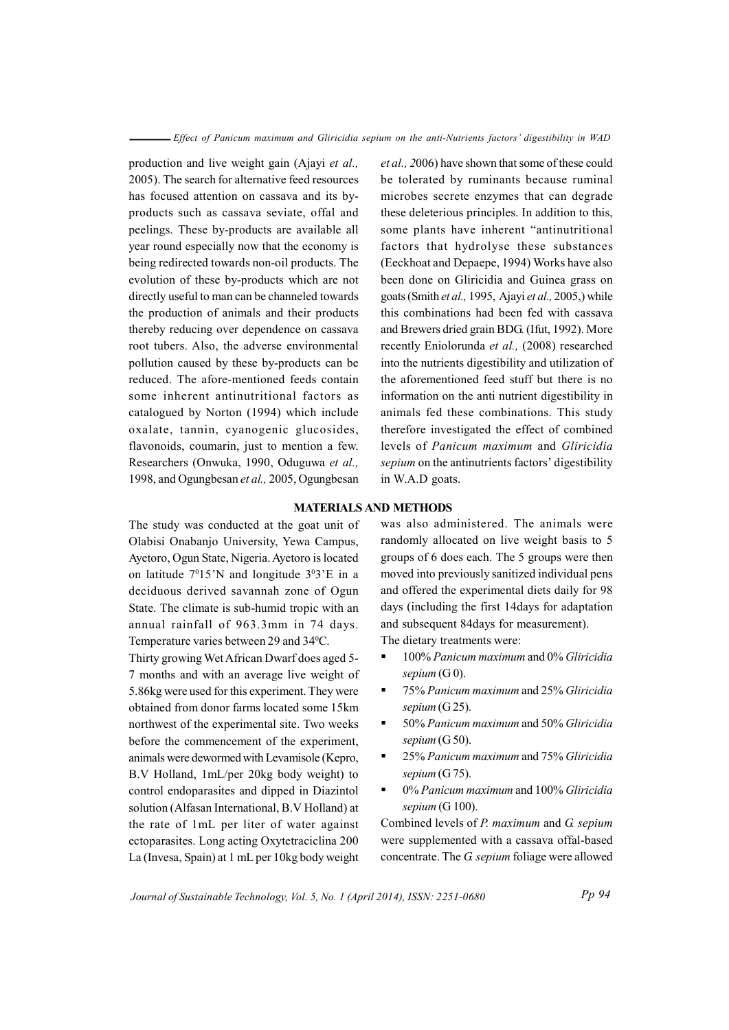production and live weight gain (Ajayi et al., 2005). The search for alternative feed resources has focused attention on cassava and its byproducts such as cassava seviate, offal and peelings. These by-products are available all year round especially now that the economy is being redirected towards non-oil products. The evolution of these by-products which are not directly useful to man can be channeled towards the production of animals and their products thereby reducing over dependence on cassava root tubers. Also, the adverse environmental pollution caused by these by-products can be reduced. The afore-mentioned feeds contain some inherent antinutritional factors as catalogued by Norton (1994) which include oxalate, tannin, cyanogenic glucosides, flavonoids, coumarin, just to mention a few. Researchers (Onwuka, 1990, Oduguwa et al., 1998, and Ogungbesan et al., 2005, Ogungbesan *et al.*, 2006) have shown that some of these could be tolerated by ruminants because ruminal microbes secrete enzymes that can degrade these deleterious principles. In addition to this, some plants have inherent "antinutritional" factors that hydrolyse these substances (Eeckhoat and Depaepe, 1994) Works have also been done on Gliricidia and Guinea grass on goats (Smith et al., 1995, Ajayi et al., 2005,) while this combinations had been fed with cassava and Brewers dried grain BDG. (Ifut, 1992). More recently Eniolorunda et al., (2008) researched into the nutrients digestibility and utilization of the aforementioned feed stuff but there is no information on the anti nutrient digestibility in animals fed these combinations. This study therefore investigated the effect of combined levels of Panicum maximum and Gliricidia *sepium* on the antinutrients factors' digestibility in W.A.D goats.

#### **MATERIALS AND METHODS**

The study was conducted at the goat unit of Olabisi Onabanjo University, Yewa Campus, Avetoro, Ogun State, Nigeria. Avetoro is located on latitude  $7^015'N$  and longitude  $3^03'E$  in a deciduous derived savannah zone of Ogun State. The climate is sub-humid tropic with an annual rainfall of 963.3mm in 74 days. Temperature varies between 29 and 34°C.

Thirty growing Wet African Dwarf does aged 5-7 months and with an average live weight of 5.86 kg were used for this experiment. They were obtained from donor farms located some 15km northwest of the experimental site. Two weeks before the commencement of the experiment, animals were dewormed with Levamisole (Kepro, B.V Holland, 1mL/per 20kg body weight) to control endoparasites and dipped in Diazintol solution (Alfasan International, B.V Holland) at the rate of 1mL per liter of water against ectoparasites. Long acting Oxytetraciclina 200 La (Invesa, Spain) at 1 mL per 10kg body weight

was also administered. The animals were randomly allocated on live weight basis to 5 groups of 6 does each. The 5 groups were then moved into previously sanitized individual pens and offered the experimental diets daily for 98 days (including the first 14days for adaptation and subsequent 84 days for measurement).

The dietary treatments were:

- 100% Panicum maximum and 0% Gliricidia sepium  $(G 0)$ .
- 75% Panicum maximum and 25% Gliricidia sepium  $(G 25)$ .
- 50% Panicum maximum and 50% Gliricidia sepium  $(G 50)$ .
- 25% Panicum maximum and 75% Gliricidia sepium  $(G 75)$ .
- 0% Panicum maximum and 100% Gliricidia sepium  $(G 100)$ .

Combined levels of P. maximum and G. sepium were supplemented with a cassava offal-based concentrate. The G septum foliage were allowed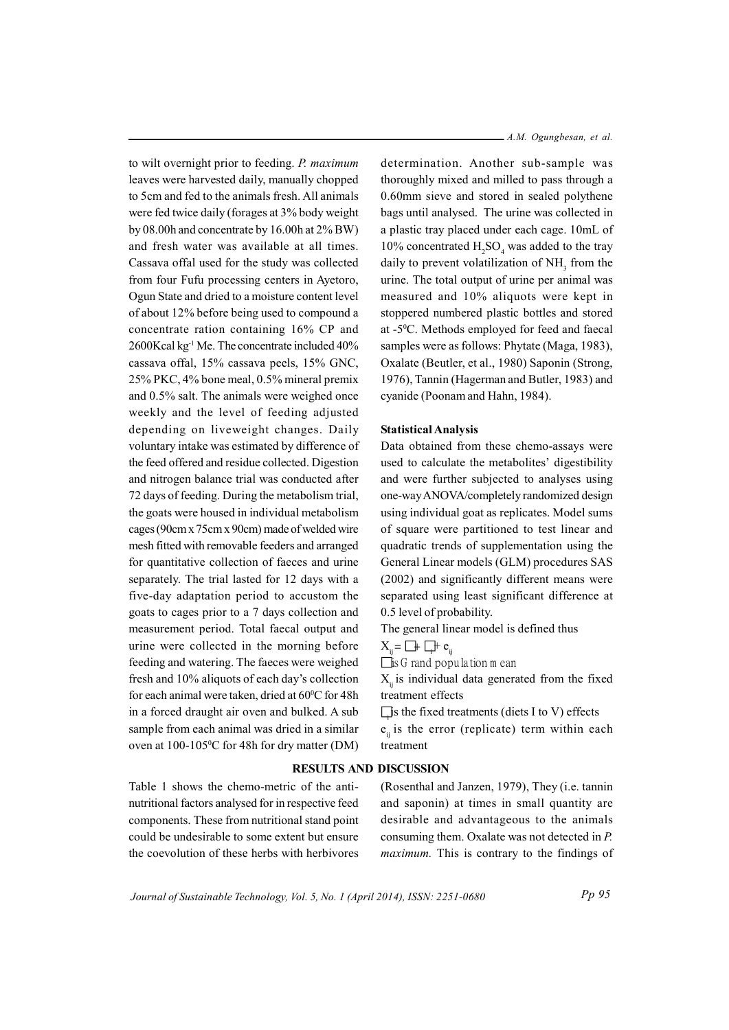to wilt overnight prior to feeding. P. maximum leaves were harvested daily, manually chopped to 5cm and fed to the animals fresh. All animals were fed twice daily (forages at 3% body weight by 08.00h and concentrate by 16.00h at  $2\%$  BW) and fresh water was available at all times. Cassava offal used for the study was collected from four Fufu processing centers in Ayetoro, Ogun State and dried to a moisture content level of about 12% before being used to compound a concentrate ration containing 16% CP and 2600Kcal kg<sup>-1</sup> Me. The concentrate included 40% cassava offal, 15% cassava peels, 15% GNC, 25% PKC, 4% bone meal, 0.5% mineral premix and 0.5% salt. The animals were weighed once weekly and the level of feeding adjusted depending on liveweight changes. Daily voluntary intake was estimated by difference of the feed offered and residue collected. Digestion and nitrogen balance trial was conducted after 72 days of feeding. During the metabolism trial, the goats were housed in individual metabolism cages (90cm x 75cm x 90cm) made of welded wire mesh fitted with removable feeders and arranged for quantitative collection of faeces and urine separately. The trial lasted for 12 days with a five-day adaptation period to accustom the goats to cages prior to a 7 days collection and measurement period. Total faecal output and urine were collected in the morning before feeding and watering. The faeces were weighed fresh and 10% aliquots of each day's collection for each animal were taken, dried at 60°C for 48h in a forced draught air oven and bulked. A sub sample from each animal was dried in a similar oven at 100-105°C for 48h for dry matter (DM)

Table 1 shows the chemo-metric of the antinutritional factors analysed for in respective feed components. These from nutritional stand point could be undesirable to some extent but ensure the coevolution of these herbs with herbivores A.M. Ogungbesan, et al.

determination. Another sub-sample was thoroughly mixed and milled to pass through a 0.60mm sieve and stored in sealed polythene bags until analysed. The urine was collected in a plastic tray placed under each cage. 10mL of 10% concentrated H<sub>3</sub>SO<sub>4</sub> was added to the tray daily to prevent volatilization of NH, from the urine. The total output of urine per animal was measured and 10% aliquots were kept in stoppered numbered plastic bottles and stored at -5<sup>o</sup>C. Methods employed for feed and faecal samples were as follows: Phytate (Maga, 1983), Oxalate (Beutler, et al., 1980) Saponin (Strong, 1976), Tannin (Hagerman and Butler, 1983) and cyanide (Poonam and Hahn, 1984).

### **Statistical Analysis**

Data obtained from these chemo-assays were used to calculate the metabolites' digestibility and were further subjected to analyses using one-way ANOVA/completely randomized design using individual goat as replicates. Model sums of square were partitioned to test linear and quadratic trends of supplementation using the General Linear models (GLM) procedures SAS (2002) and significantly different means were separated using least significant difference at 0.5 level of probability.

The general linear model is defined thus

 $X_i = \Box \vdash \Box \vdash e_i$ 

 $\Box$  is G rand population m ean

 $X_{ii}$  is individual data generated from the fixed treatment effects

 $\Box$  is the fixed treatments (diets I to V) effects

 $e_{ii}$  is the error (replicate) term within each treatment

# **RESULTS AND DISCUSSION**

(Rosenthal and Janzen, 1979), They (i.e. tannin and saponin) at times in small quantity are desirable and advantageous to the animals consuming them. Oxalate was not detected in P. *maximum*. This is contrary to the findings of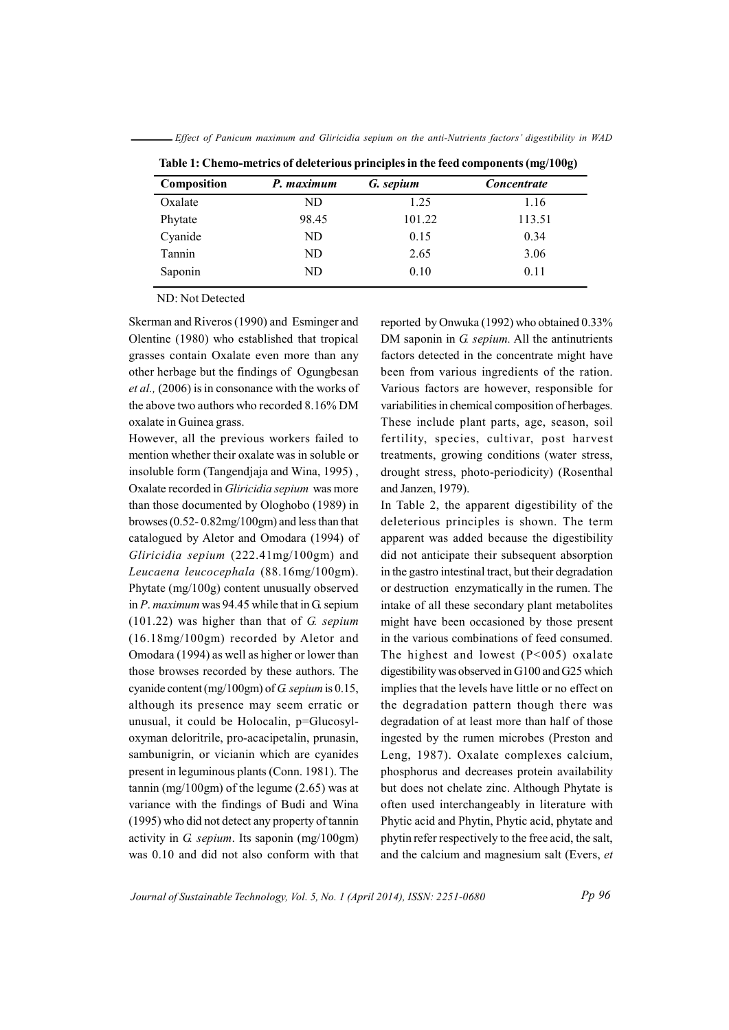Effect of Panicum maximum and Gliricidia sepium on the anti-Nutrients factors' digestibility in WAD

| Composition | P. maximum | G. sepium | <b>Concentrate</b> |  |  |
|-------------|------------|-----------|--------------------|--|--|
| Oxalate     | ND         | 1.25      | 1.16               |  |  |
| Phytate     | 98.45      | 101.22    | 113.51             |  |  |
| Cyanide     | ND         | 0.15      | 0.34               |  |  |
| Tannin      | ND         | 2.65      | 3.06               |  |  |
| Saponin     | ND         | 0.10      | 0.11               |  |  |

Table 1: Chemo-metrics of deleterious principles in the feed components  $(mg/100g)$ 

ND: Not Detected

Skerman and Riveros (1990) and Esminger and Olentine (1980) who established that tropical grasses contain Oxalate even more than any other herbage but the findings of Ogungbesan *et al.*, (2006) is in consonance with the works of the above two authors who recorded 8.16% DM oxalate in Guinea grass.

However, all the previous workers failed to mention whether their oxalate was in soluble or insoluble form (Tangendiaja and Wina, 1995), Oxalate recorded in Gliricidia sepium was more than those documented by Ologhobo (1989) in browses  $(0.52 - 0.82 \text{mg}/100 \text{gm})$  and less than that catalogued by Aletor and Omodara (1994) of Gliricidia sepium (222.41mg/100gm) and Leucaena leucocephala (88.16mg/100gm). Phytate (mg/100g) content unusually observed in  $P$ . maximum was 94.45 while that in G. sepium  $(101.22)$  was higher than that of G. sepium  $(16.18mg/100gm)$  recorded by Aletor and Omodara (1994) as well as higher or lower than those browses recorded by these authors. The cyanide content (mg/100gm) of G sepium is 0.15, although its presence may seem erratic or unusual, it could be Holocalin, p=Glucosyloxyman deloritrile, pro-acacipetalin, prunasin, sambunigrin, or vicianin which are cyanides present in leguminous plants (Conn. 1981). The tannin (mg/100gm) of the legume  $(2.65)$  was at variance with the findings of Budi and Wina (1995) who did not detect any property of tannin activity in G septum. Its saponin  $(mg/100gm)$ was 0.10 and did not also conform with that

reported by Onwuka (1992) who obtained 0.33% DM saponin in G. sepium. All the antinutrients factors detected in the concentrate might have been from various ingredients of the ration. Various factors are however, responsible for variabilities in chemical composition of herbages. These include plant parts, age, season, soil fertility, species, cultivar, post harvest treatments, growing conditions (water stress, drought stress, photo-periodicity) (Rosenthal and Janzen, 1979).

In Table 2, the apparent digestibility of the deleterious principles is shown. The term apparent was added because the digestibility did not anticipate their subsequent absorption in the gastro intestinal tract, but their degradation or destruction enzymatically in the rumen. The intake of all these secondary plant metabolites might have been occasioned by those present in the various combinations of feed consumed. The highest and lowest  $(P<005)$  oxalate digestibility was observed in G100 and G25 which implies that the levels have little or no effect on the degradation pattern though there was degradation of at least more than half of those ingested by the rumen microbes (Preston and Leng, 1987). Oxalate complexes calcium, phosphorus and decreases protein availability but does not chelate zinc. Although Phytate is often used interchangeably in literature with Phytic acid and Phytin, Phytic acid, phytate and phytin refer respectively to the free acid, the salt, and the calcium and magnesium salt (Evers, et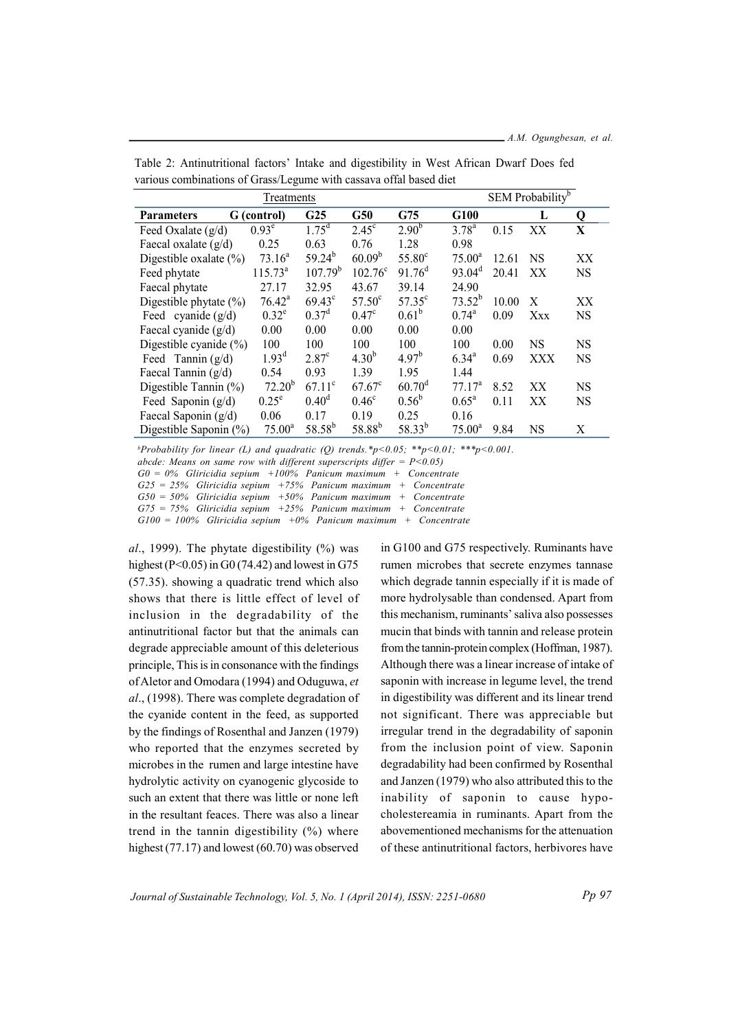| Treatments                 |                    |                   |                    |                    |                    | SEM Probability <sup>b</sup> |                  |           |
|----------------------------|--------------------|-------------------|--------------------|--------------------|--------------------|------------------------------|------------------|-----------|
| <b>Parameters</b>          | G (control)        | G <sub>25</sub>   | G50                | G75                | G100               |                              | L                | Q         |
| Feed Oxalate $(g/d)$       | 0.93 <sup>e</sup>  | $1.75^d$          | $2.45^{\circ}$     | $2.90^{b}$         | $3.78^{a}$         | 0.15                         | XX               | X         |
| Faecal oxalate $(g/d)$     | 0.25               | 0.63              | 0.76               | 1.28               | 0.98               |                              |                  |           |
| Digestible oxalate $(\% )$ | 73.16 <sup>a</sup> | $59.24^{b}$       | 60.09 <sup>b</sup> | $55.80^{\circ}$    | $75.00^a$          | 12.61                        | <b>NS</b>        | XX        |
| Feed phytate               | $115.73^{a}$       | $107.79^{b}$      | $102.76^{\circ}$   | 91.76 <sup>d</sup> | $93.04^d$          | 20.41                        | XX               | <b>NS</b> |
| Faecal phytate             | 27.17              | 32.95             | 43.67              | 39.14              | 24.90              |                              |                  |           |
| Digestible phytate $(\% )$ | $76.42^a$          | $69.43^{\circ}$   | $57.50^{\circ}$    | $57.35^{\circ}$    | $73.52^{b}$        | 10.00                        | $\boldsymbol{X}$ | XX        |
| Feed cyanide $(g/d)$       | $0.32^e$           | 0.37 <sup>d</sup> | 0.47 <sup>c</sup>  | $0.61^{b}$         | $0.74^{\rm a}$     | 0.09                         | Xxx              | <b>NS</b> |
| Faecal cyanide (g/d)       | 0.00               | 0.00              | 0.00               | 0.00               | 0.00               |                              |                  |           |
| Digestible cyanide $(\% )$ | 100                | 100               | 100                | 100                | 100                | 0.00                         | <b>NS</b>        | <b>NS</b> |
| Feed Tannin $(g/d)$        | $1.93^{\rm d}$     | 2.87 <sup>c</sup> | $4.30^{b}$         | $4.97^{b}$         | $6.34^{a}$         | 0.69                         | XXX              | <b>NS</b> |
| Faecal Tannin $(g/d)$      | 0.54               | 0.93              | 1.39               | 1.95               | 1.44               |                              |                  |           |
| Digestible Tannin $(\% )$  | $72.20^{b}$        | $67.11^{\circ}$   | $67.67^c$          | $60.70^{\rm d}$    | 77.17 <sup>a</sup> | 8.52                         | XX               | <b>NS</b> |
| Feed Saponin $(g/d)$       | $0.25^e$           | $0.40^d$          | $0.46^{\circ}$     | $0.56^{\rm b}$     | $0.65^{\rm a}$     | 0.11                         | XX               | <b>NS</b> |
| Faecal Saponin (g/d)       | 0.06               | 0.17              | 0.19               | 0.25               | 0.16               |                              |                  |           |
| Digestible Saponin (%)     | $75.00^a$          | $58.58^{b}$       | 58.88 <sup>b</sup> | $58.33^{b}$        | $75.00^a$          | 9.84                         | <b>NS</b>        | Χ         |

Table 2: Antinutritional factors' Intake and digestibility in West African Dwarf Does fed various combinations of Grass/Legume with cassava offal based diet

<sup>b</sup>Probability for linear (L) and quadratic (O) trends.\*p<0.05; \*\*p<0.01; \*\*\*p<0.001. abcde: Means on same row with different superscripts differ =  $P < 0.05$ )  $G0 = 0%$  Gliricidia sepium +100% Panicum maximum + Concentrate

 $G25 = 25\%$  Gliricidia sepium +75% Panicum maximum + Concentrate  $G50 = 50\%$  Gliricidia sepium +50% Panicum maximum + Concentrate  $G75 = 75\%$  Gliricidia sepium +25% Panicum maximum + Concentrate  $G100 = 100\%$  Gliricidia sepium +0% Panicum maximum + Concentrate

al., 1999). The phytate digestibility  $(\% )$  was highest ( $P<0.05$ ) in G0 (74.42) and lowest in G75 (57.35). showing a quadratic trend which also shows that there is little effect of level of inclusion in the degradability of the antinutritional factor but that the animals can degrade appreciable amount of this deleterious principle. This is in consonance with the findings of Aletor and Omodara (1994) and Oduguwa, et al., (1998). There was complete degradation of the cyanide content in the feed, as supported by the findings of Rosenthal and Janzen (1979) who reported that the enzymes secreted by microbes in the rumen and large intestine have hydrolytic activity on cyanogenic glycoside to such an extent that there was little or none left in the resultant feaces. There was also a linear trend in the tannin digestibility  $(%)$  where highest  $(77.17)$  and lowest  $(60.70)$  was observed

in G100 and G75 respectively. Ruminants have rumen microbes that secrete enzymes tannase which degrade tannin especially if it is made of more hydrolysable than condensed. Apart from this mechanism, ruminants' saliva also possesses mucin that binds with tannin and release protein from the tannin-protein complex (Hoffman, 1987). Although there was a linear increase of intake of saponin with increase in legume level, the trend in digestibility was different and its linear trend not significant. There was appreciable but irregular trend in the degradability of saponin from the inclusion point of view. Saponin degradability had been confirmed by Rosenthal and Janzen (1979) who also attributed this to the inability of saponin to cause hypocholestereamia in ruminants. Apart from the abovementioned mechanisms for the attenuation of these antinutritional factors, herbivores have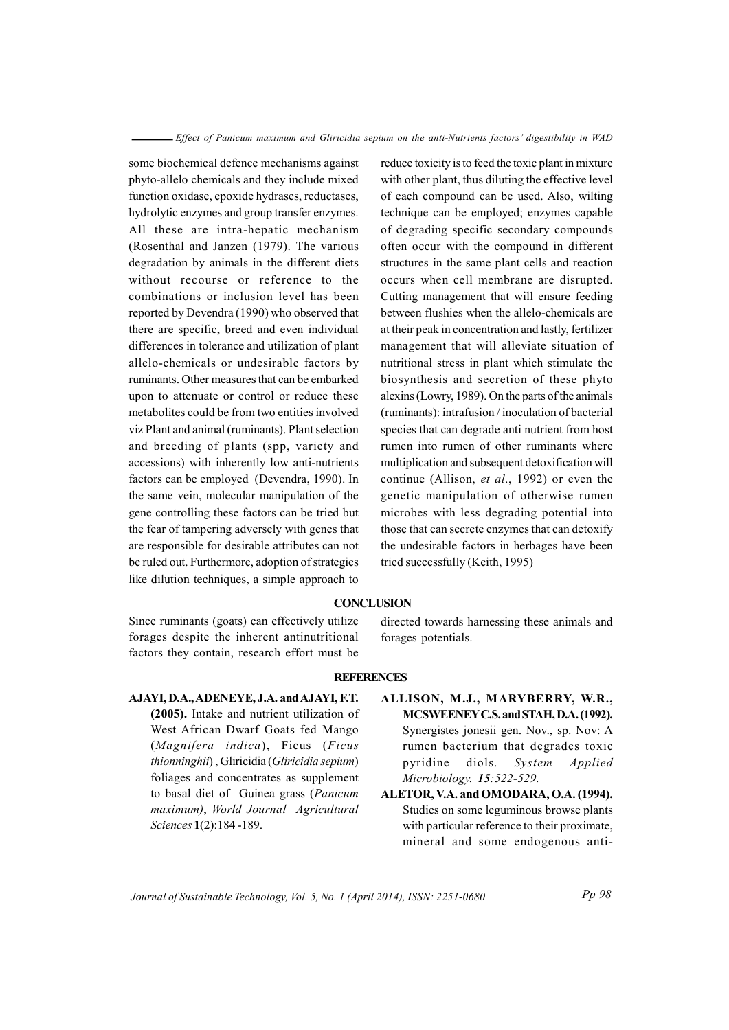some biochemical defence mechanisms against phyto-allelo chemicals and they include mixed function oxidase, epoxide hydrases, reductases, hydrolytic enzymes and group transfer enzymes. All these are intra-hepatic mechanism (Rosenthal and Janzen (1979). The various degradation by animals in the different diets without recourse or reference to the combinations or inclusion level has been reported by Devendra (1990) who observed that there are specific, breed and even individual differences in tolerance and utilization of plant allelo-chemicals or undesirable factors by ruminants. Other measures that can be embarked upon to attenuate or control or reduce these metabolites could be from two entities involved viz Plant and animal (ruminants). Plant selection and breeding of plants (spp, variety and accessions) with inherently low anti-nutrients factors can be employed (Devendra, 1990). In the same vein, molecular manipulation of the gene controlling these factors can be tried but the fear of tampering adversely with genes that are responsible for desirable attributes can not be ruled out. Furthermore, adoption of strategies like dilution techniques, a simple approach to reduce toxicity is to feed the toxic plant in mixture with other plant, thus diluting the effective level of each compound can be used. Also, wilting technique can be employed; enzymes capable of degrading specific secondary compounds often occur with the compound in different structures in the same plant cells and reaction occurs when cell membrane are disrupted. Cutting management that will ensure feeding between flushies when the allelo-chemicals are at their peak in concentration and lastly, fertilizer management that will alleviate situation of nutritional stress in plant which stimulate the biosynthesis and secretion of these phyto alexins (Lowry, 1989). On the parts of the animals (ruminants): intrafusion / inoculation of bacterial species that can degrade anti nutrient from host rumen into rumen of other ruminants where multiplication and subsequent detoxification will continue (Allison, et al., 1992) or even the genetic manipulation of otherwise rumen microbes with less degrading potential into those that can secrete enzymes that can detoxify the undesirable factors in herbages have been tried successfully (Keith, 1995)

## **CONCLUSION**

Since ruminants (goats) can effectively utilize forages despite the inherent antinutritional factors they contain, research effort must be directed towards harnessing these animals and forages potentials.

#### **REFERENCES**

- AJAYI, D.A., ADENEYE, J.A. and AJAYI, F.T. (2005). Intake and nutrient utilization of West African Dwarf Goats fed Mango (Magnifera indica), Ficus (Ficus thionninghii), Gliricidia (Gliricidia sepium) foliages and concentrates as supplement to basal diet of Guinea grass (Panicum maximum), World Journal Agricultural Sciences 1(2):184-189.
- ALLISON, M.J., MARYBERRY, W.R., MCSWEENEY C.S. and STAH, D.A. (1992). Synergistes jonesii gen. Nov., sp. Nov: A rumen bacterium that degrades toxic pyridine diols. System Applied Microbiology. 15:522-529.
- ALETOR, V.A. and OMODARA, O.A. (1994). Studies on some leguminous browse plants with particular reference to their proximate, mineral and some endogenous anti-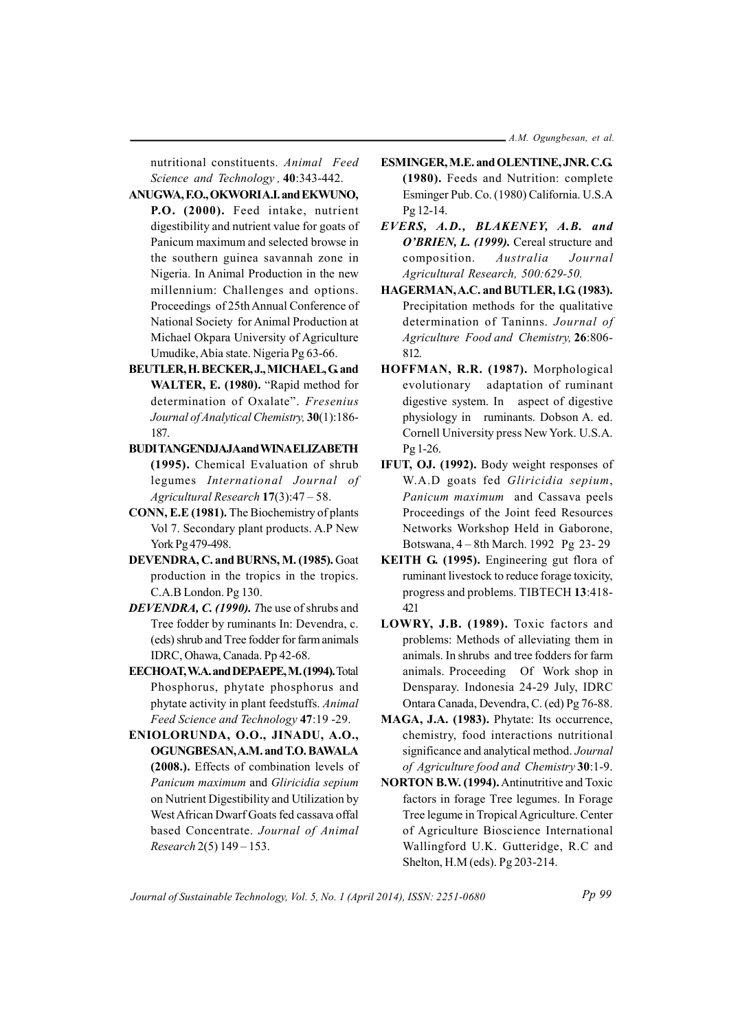nutritional constituents. Animal Feed Science and Technology, 40:343-442.

- ANUGWA, F.O., OKWORIA.I. and EKWUNO, P.O. (2000). Feed intake, nutrient digestibility and nutrient value for goats of Panicum maximum and selected browse in the southern guinea savannah zone in Nigeria. In Animal Production in the new millennium: Challenges and options. Proceedings of 25th Annual Conference of National Society for Animal Production at Michael Okpara University of Agriculture Umudike, Abia state. Nigeria Pg 63-66.
- BEUTLER, H. BECKER, J., MICHAEL, G. and WALTER, E. (1980). "Rapid method for determination of Oxalate". Fresenius Journal of Analytical Chemistry, 30(1):186-187.
- **BUDITANGENDJAJAand WINAELIZABETH** (1995). Chemical Evaluation of shrub legumes International Journal of Agricultural Research 17(3):47 - 58.
- CONN, E.E (1981). The Biochemistry of plants Vol 7. Secondary plant products. A.P New York Pg 479-498.
- DEVENDRA, C. and BURNS, M. (1985). Goat production in the tropics in the tropics. C.A.B London. Pg 130.
- DEVENDRA, C. (1990). The use of shrubs and Tree fodder by ruminants In: Devendra, c. (eds) shrub and Tree fodder for farm animals IDRC, Ohawa, Canada. Pp 42-68.
- EECHOAT, W.A. and DEPAEPE, M. (1994). Total Phosphorus, phytate phosphorus and phytate activity in plant feedstuffs. Animal Feed Science and Technology 47:19 -29.
- ENIOLORUNDA, O.O., JINADU, A.O., OGUNGBESAN, A.M. and T.O. BAWALA (2008.). Effects of combination levels of Panicum maximum and Gliricidia sepium on Nutrient Digestibility and Utilization by West African Dwarf Goats fed cassava offal based Concentrate. Journal of Animal Research 2(5) 149 - 153.
- ESMINGER, M.E. and OLENTINE, JNR. C.G. (1980). Feeds and Nutrition: complete Esminger Pub. Co. (1980) California. U.S.A Pg 12-14.
- EVERS, A.D., BLAKENEY, A.B. and O'BRIEN, L. (1999). Cereal structure and Australia Journal composition. Agricultural Research, 500:629-50.
- HAGERMAN, A.C. and BUTLER, I.G. (1983). Precipitation methods for the qualitative determination of Taninns. Journal of Agriculture Food and Chemistry, 26:806-812
- HOFFMAN, R.R. (1987). Morphological evolutionary adaptation of ruminant digestive system. In aspect of digestive physiology in ruminants. Dobson A. ed. Cornell University press New York. U.S.A. Pg 1-26.
- IFUT, OJ. (1992). Body weight responses of W.A.D goats fed Gliricidia sepium, Panicum maximum and Cassava peels Proceedings of the Joint feed Resources Networks Workshop Held in Gaborone, Botswana, 4 – 8th March. 1992 Pg 23-29
- KEITH G. (1995). Engineering gut flora of ruminant livestock to reduce forage toxicity, progress and problems. TIBTECH 13:418-421
- LOWRY, J.B. (1989). Toxic factors and problems: Methods of alleviating them in animals. In shrubs and tree fodders for farm animals. Proceeding Of Work shop in Densparay. Indonesia 24-29 July, IDRC Ontara Canada, Devendra, C. (ed) Pg 76-88.
- MAGA, J.A. (1983). Phytate: Its occurrence, chemistry, food interactions nutritional significance and analytical method. Journal of Agriculture food and Chemistry 30:1-9.
- **NORTON B.W. (1994).** Antinutritive and Toxic factors in forage Tree legumes. In Forage Tree legume in Tropical Agriculture. Center of Agriculture Bioscience International Wallingford U.K. Gutteridge, R.C and Shelton, H.M (eds). Pg 203-214.